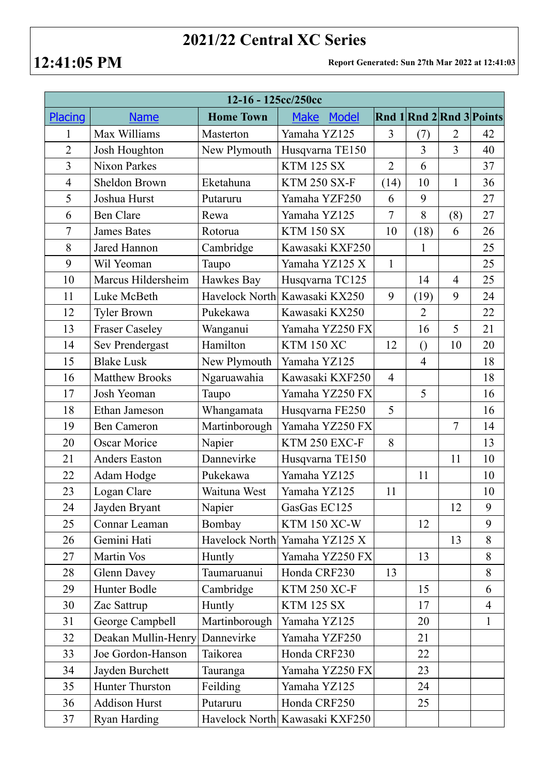## **2021/22 Central XC Series**

**12:41:05 PM Report Generated: Sun 27th Mar 2022 at 12:41:03**

| 12-16 - 125cc/250cc |                       |                  |                                |                |                  |                |                          |  |  |
|---------------------|-----------------------|------------------|--------------------------------|----------------|------------------|----------------|--------------------------|--|--|
| <b>Placing</b>      | <b>Name</b>           | <b>Home Town</b> | <b>Model</b><br><b>Make</b>    |                |                  |                | Rnd 1 Rnd 2 Rnd 3 Points |  |  |
| 1                   | Max Williams          | Masterton        | Yamaha YZ125                   | 3              | (7)              | 2              | 42                       |  |  |
| $\overline{2}$      | Josh Houghton         | New Plymouth     | Husqvarna TE150                |                | $\overline{3}$   | $\overline{3}$ | 40                       |  |  |
| $\overline{3}$      | <b>Nixon Parkes</b>   |                  | <b>KTM 125 SX</b>              | $\overline{2}$ | 6                |                | 37                       |  |  |
| $\overline{4}$      | Sheldon Brown         | Eketahuna        | <b>KTM 250 SX-F</b>            | (14)           | 10               | $\mathbf{1}$   | 36                       |  |  |
| 5                   | Joshua Hurst          | Putaruru         | Yamaha YZF250                  | 6              | 9                |                | 27                       |  |  |
| 6                   | <b>Ben Clare</b>      | Rewa             | Yamaha YZ125                   | $\overline{7}$ | 8                | (8)            | 27                       |  |  |
| $\overline{7}$      | <b>James Bates</b>    | Rotorua          | <b>KTM 150 SX</b>              | 10             | (18)             | 6              | 26                       |  |  |
| 8                   | Jared Hannon          | Cambridge        | Kawasaki KXF250                |                | $\mathbf{1}$     |                | 25                       |  |  |
| 9                   | Wil Yeoman            | Taupo            | Yamaha YZ125 X                 | $\mathbf{1}$   |                  |                | 25                       |  |  |
| 10                  | Marcus Hildersheim    | Hawkes Bay       | Husqvarna TC125                |                | 14               | $\overline{4}$ | 25                       |  |  |
| 11                  | Luke McBeth           |                  | Havelock North Kawasaki KX250  | 9              | (19)             | 9              | 24                       |  |  |
| 12                  | <b>Tyler Brown</b>    | Pukekawa         | Kawasaki KX250                 |                | $\overline{2}$   |                | 22                       |  |  |
| 13                  | <b>Fraser Caseley</b> | Wanganui         | Yamaha YZ250 FX                |                | 16               | 5              | 21                       |  |  |
| 14                  | Sev Prendergast       | Hamilton         | <b>KTM 150 XC</b>              | 12             | $\left( \right)$ | 10             | 20                       |  |  |
| 15                  | <b>Blake Lusk</b>     | New Plymouth     | Yamaha YZ125                   |                | $\overline{4}$   |                | 18                       |  |  |
| 16                  | <b>Matthew Brooks</b> | Ngaruawahia      | Kawasaki KXF250                | $\overline{4}$ |                  |                | 18                       |  |  |
| 17                  | Josh Yeoman           | Taupo            | Yamaha YZ250 FX                |                | 5                |                | 16                       |  |  |
| 18                  | Ethan Jameson         | Whangamata       | Husqvarna FE250                | 5              |                  |                | 16                       |  |  |
| 19                  | <b>Ben Cameron</b>    | Martinborough    | Yamaha YZ250 FX                |                |                  | $\overline{7}$ | 14                       |  |  |
| 20                  | <b>Oscar Morice</b>   | Napier           | KTM 250 EXC-F                  | 8              |                  |                | 13                       |  |  |
| 21                  | <b>Anders Easton</b>  | Dannevirke       | Husqvarna TE150                |                |                  | 11             | 10                       |  |  |
| 22                  | Adam Hodge            | Pukekawa         | Yamaha YZ125                   |                | 11               |                | 10                       |  |  |
| 23                  | Logan Clare           | Waituna West     | Yamaha YZ125                   | 11             |                  |                | 10                       |  |  |
| 24                  | Jayden Bryant         | Napier           | GasGas EC125                   |                |                  | 12             | 9                        |  |  |
| 25                  | Connar Leaman         | Bombay           | <b>KTM 150 XC-W</b>            |                | 12               |                | 9                        |  |  |
| 26                  | Gemini Hati           | Havelock North   | Yamaha YZ125 X                 |                |                  | 13             | 8                        |  |  |
| 27                  | Martin Vos            | Huntly           | Yamaha YZ250 FX                |                | 13               |                | 8                        |  |  |
| 28                  | Glenn Davey           | Taumaruanui      | Honda CRF230                   | 13             |                  |                | 8                        |  |  |
| 29                  | Hunter Bodle          | Cambridge        | <b>KTM 250 XC-F</b>            |                | 15               |                | 6                        |  |  |
| 30                  | Zac Sattrup           | Huntly           | <b>KTM 125 SX</b>              |                | 17               |                | $\overline{4}$           |  |  |
| 31                  | George Campbell       | Martinborough    | Yamaha YZ125                   |                | 20               |                | $\mathbf{1}$             |  |  |
| 32                  | Deakan Mullin-Henry   | Dannevirke       | Yamaha YZF250                  |                | 21               |                |                          |  |  |
| 33                  | Joe Gordon-Hanson     | Taikorea         | Honda CRF230                   |                | 22               |                |                          |  |  |
| 34                  | Jayden Burchett       | Tauranga         | Yamaha YZ250 FX                |                | 23               |                |                          |  |  |
| 35                  | Hunter Thurston       | Feilding         | Yamaha YZ125                   |                | 24               |                |                          |  |  |
| 36                  | <b>Addison Hurst</b>  | Putaruru         | Honda CRF250                   |                | 25               |                |                          |  |  |
| 37                  | Ryan Harding          |                  | Havelock North Kawasaki KXF250 |                |                  |                |                          |  |  |